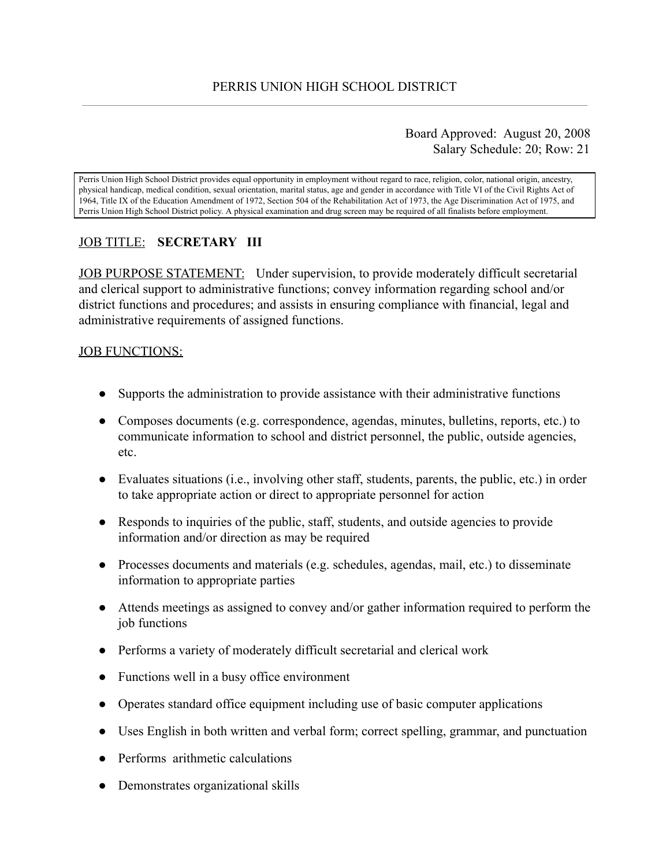## Board Approved: August 20, 2008 Salary Schedule: 20; Row: 21

Perris Union High School District provides equal opportunity in employment without regard to race, religion, color, national origin, ancestry, physical handicap, medical condition, sexual orientation, marital status, age and gender in accordance with Title VI of the Civil Rights Act of 1964, Title IX of the Education Amendment of 1972, Section 504 of the Rehabilitation Act of 1973, the Age Discrimination Act of 1975, and Perris Union High School District policy. A physical examination and drug screen may be required of all finalists before employment.

# JOB TITLE: **SECRETARY III**

JOB PURPOSE STATEMENT: Under supervision, to provide moderately difficult secretarial and clerical support to administrative functions; convey information regarding school and/or district functions and procedures; and assists in ensuring compliance with financial, legal and administrative requirements of assigned functions.

## JOB FUNCTIONS:

- Supports the administration to provide assistance with their administrative functions
- Composes documents (e.g. correspondence, agendas, minutes, bulletins, reports, etc.) to communicate information to school and district personnel, the public, outside agencies, etc.
- Evaluates situations (i.e., involving other staff, students, parents, the public, etc.) in order to take appropriate action or direct to appropriate personnel for action
- Responds to inquiries of the public, staff, students, and outside agencies to provide information and/or direction as may be required
- Processes documents and materials (e.g. schedules, agendas, mail, etc.) to disseminate information to appropriate parties
- Attends meetings as assigned to convey and/or gather information required to perform the job functions
- Performs a variety of moderately difficult secretarial and clerical work
- Functions well in a busy office environment
- Operates standard office equipment including use of basic computer applications
- Uses English in both written and verbal form; correct spelling, grammar, and punctuation
- Performs arithmetic calculations
- Demonstrates organizational skills